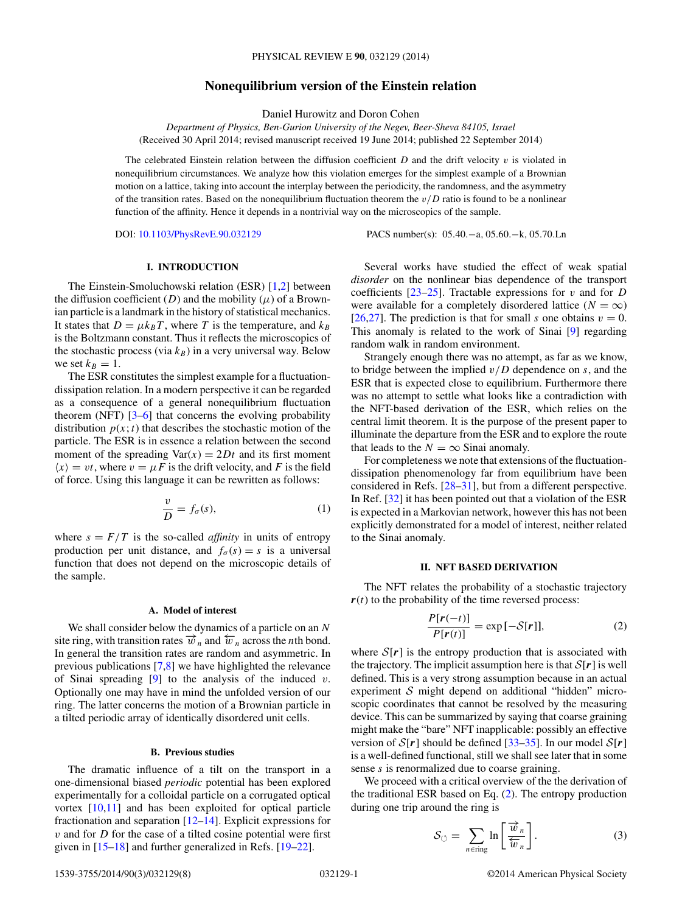# **Nonequilibrium version of the Einstein relation**

Daniel Hurowitz and Doron Cohen

<span id="page-0-0"></span>*Department of Physics, Ben-Gurion University of the Negev, Beer-Sheva 84105, Israel* (Received 30 April 2014; revised manuscript received 19 June 2014; published 22 September 2014)

The celebrated Einstein relation between the diffusion coefficient *D* and the drift velocity *v* is violated in nonequilibrium circumstances. We analyze how this violation emerges for the simplest example of a Brownian motion on a lattice, taking into account the interplay between the periodicity, the randomness, and the asymmetry of the transition rates. Based on the nonequilibrium fluctuation theorem the *v/D* ratio is found to be a nonlinear function of the affinity. Hence it depends in a nontrivial way on the microscopics of the sample.

DOI: [10.1103/PhysRevE.90.032129](http://dx.doi.org/10.1103/PhysRevE.90.032129) PACS number(s): 05*.*40*.*−a*,* 05*.*60*.*−k*,* 05*.*70*.*Ln

### **I. INTRODUCTION**

The Einstein-Smoluchowski relation (ESR) [\[1,2\]](#page-6-0) between the diffusion coefficient  $(D)$  and the mobility  $(\mu)$  of a Brownian particle is a landmark in the history of statistical mechanics. It states that  $D = \mu k_B T$ , where *T* is the temperature, and  $k_B$ is the Boltzmann constant. Thus it reflects the microscopics of the stochastic process (via  $k_B$ ) in a very universal way. Below we set  $k_B=1$ .

The ESR constitutes the simplest example for a fluctuationdissipation relation. In a modern perspective it can be regarded as a consequence of a general nonequilibrium fluctuation theorem (NFT)  $[3-6]$  that concerns the evolving probability distribution  $p(x; t)$  that describes the stochastic motion of the particle. The ESR is in essence a relation between the second moment of the spreading  $Var(x) = 2Dt$  and its first moment  $\langle x \rangle = vt$ , where  $v = \mu F$  is the drift velocity, and F is the field of force. Using this language it can be rewritten as follows:

$$
\frac{v}{D} = f_{\sigma}(s),\tag{1}
$$

where  $s = F/T$  is the so-called *affinity* in units of entropy production per unit distance, and  $f_\sigma(s) = s$  is a universal function that does not depend on the microscopic details of the sample.

#### **A. Model of interest**

We shall consider below the dynamics of a particle on an *N* site ring, with transition rates  $\vec{w}_n$  and  $\vec{w}_n$  across the *n*th bond. In general the transition rates are random and asymmetric. In previous publications [\[7,8\]](#page-6-0) we have highlighted the relevance of Sinai spreading [\[9\]](#page-6-0) to the analysis of the induced *v*. Optionally one may have in mind the unfolded version of our ring. The latter concerns the motion of a Brownian particle in a tilted periodic array of identically disordered unit cells.

# **B. Previous studies**

The dramatic influence of a tilt on the transport in a one-dimensional biased *periodic* potential has been explored experimentally for a colloidal particle on a corrugated optical vortex [\[10,11\]](#page-6-0) and has been exploited for optical particle fractionation and separation  $[12–14]$ . Explicit expressions for *v* and for *D* for the case of a tilted cosine potential were first given in [\[15–18\]](#page-6-0) and further generalized in Refs. [\[19–22\]](#page-6-0).

Several works have studied the effect of weak spatial *disorder* on the nonlinear bias dependence of the transport coefficients [\[23](#page-6-0)[–25\]](#page-7-0). Tractable expressions for *v* and for *D* were available for a completely disordered lattice ( $N = \infty$ ) [\[26,27\]](#page-7-0). The prediction is that for small *s* one obtains  $v = 0$ . This anomaly is related to the work of Sinai [\[9\]](#page-6-0) regarding random walk in random environment.

Strangely enough there was no attempt, as far as we know, to bridge between the implied *v/D* dependence on *s*, and the ESR that is expected close to equilibrium. Furthermore there was no attempt to settle what looks like a contradiction with the NFT-based derivation of the ESR, which relies on the central limit theorem. It is the purpose of the present paper to illuminate the departure from the ESR and to explore the route that leads to the  $N = \infty$  Sinai anomaly.

For completeness we note that extensions of the fluctuationdissipation phenomenology far from equilibrium have been considered in Refs. [\[28–31\]](#page-7-0), but from a different perspective. In Ref. [\[32\]](#page-7-0) it has been pointed out that a violation of the ESR is expected in a Markovian network, however this has not been explicitly demonstrated for a model of interest, neither related to the Sinai anomaly.

## **II. NFT BASED DERIVATION**

The NFT relates the probability of a stochastic trajectory  $r(t)$  to the probability of the time reversed process:

$$
\frac{P[r(-t)]}{P[r(t)]} = \exp[-S[r]],
$$
\n(2)

where  $S[r]$  is the entropy production that is associated with the trajectory. The implicit assumption here is that  $S[r]$  is well defined. This is a very strong assumption because in an actual experiment  $S$  might depend on additional "hidden" microscopic coordinates that cannot be resolved by the measuring device. This can be summarized by saying that coarse graining might make the "bare" NFT inapplicable: possibly an effective version of  $S[r]$  should be defined  $[33-35]$ . In our model  $S[r]$ is a well-defined functional, still we shall see later that in some sense *s* is renormalized due to coarse graining.

We proceed with a critical overview of the the derivation of the traditional ESR based on Eq. (2). The entropy production during one trip around the ring is

$$
S_{\circlearrowleft} = \sum_{n \in \text{ring}} \ln \left[ \frac{\overrightarrow{w}_n}{\overleftarrow{w}_n} \right]. \tag{3}
$$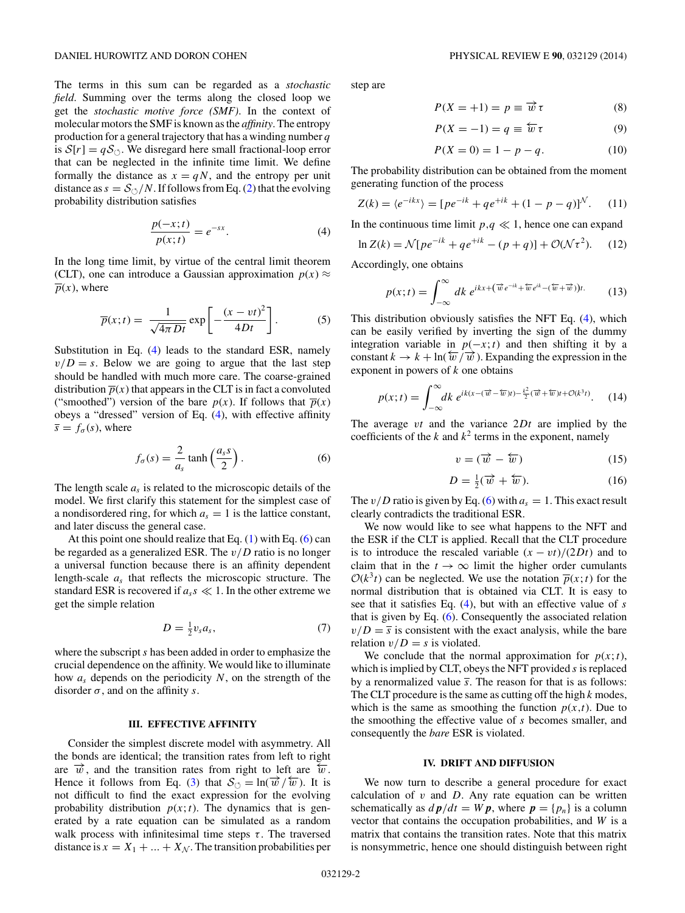<span id="page-1-0"></span>The terms in this sum can be regarded as a *stochastic field*. Summing over the terms along the closed loop we get the *stochastic motive force (SMF)*. In the context of molecular motors the SMF is known as the *affinity*. The entropy production for a general trajectory that has a winding number *q* is  $S[r] = qS_{\circlearrowleft}$ . We disregard here small fractional-loop error that can be neglected in the infinite time limit. We define formally the distance as  $x = qN$ , and the entropy per unit distance as  $s = \frac{\mathcal{S}_{\circlearrowleft}}{N}$ . If follows from Eq. [\(2\)](#page-0-0) that the evolving probability distribution satisfies

$$
\frac{p(-x;t)}{p(x;t)} = e^{-sx}.\tag{4}
$$

In the long time limit, by virtue of the central limit theorem (CLT), one can introduce a Gaussian approximation  $p(x) \approx$  $\overline{p}(x)$ , where

$$
\overline{p}(x;t) = \frac{1}{\sqrt{4\pi Dt}} \exp\left[-\frac{(x-vt)^2}{4Dt}\right].
$$
 (5)

Substitution in Eq. (4) leads to the standard ESR, namely  $v/D = s$ . Below we are going to argue that the last step should be handled with much more care. The coarse-grained distribution  $\overline{p}(x)$  that appears in the CLT is in fact a convoluted ("smoothed") version of the bare  $p(x)$ . If follows that  $\overline{p}(x)$ obeys a "dressed" version of Eq. (4), with effective affinity  $\bar{s} = f_{\sigma}(s)$ , where

$$
f_{\sigma}(s) = \frac{2}{a_s} \tanh\left(\frac{a_s s}{2}\right). \tag{6}
$$

The length scale  $a_s$  is related to the microscopic details of the model. We first clarify this statement for the simplest case of a nondisordered ring, for which  $a_s = 1$  is the lattice constant, and later discuss the general case.

At this point one should realize that Eq.  $(1)$  with Eq.  $(6)$  can be regarded as a generalized ESR. The *v/D* ratio is no longer a universal function because there is an affinity dependent length-scale *as* that reflects the microscopic structure. The standard ESR is recovered if  $a_s s \ll 1$ . In the other extreme we get the simple relation

$$
D = \frac{1}{2}v_s a_s,\tag{7}
$$

where the subscript *s* has been added in order to emphasize the crucial dependence on the affinity. We would like to illuminate how *as* depends on the periodicity *N*, on the strength of the disorder  $\sigma$ , and on the affinity *s*.

# **III. EFFECTIVE AFFINITY**

Consider the simplest discrete model with asymmetry. All the bonds are identical; the transition rates from left to right are  $\vec{w}$ , and the transition rates from right to left are  $\hat{w}$ . Hence it follows from Eq. [\(3\)](#page-0-0) that  $S_{\circlearrowleft} = \ln(\vec{w}/\vec{w})$ . It is not difficult to find the exact expression for the evolving probability distribution  $p(x; t)$ . The dynamics that is generated by a rate equation can be simulated as a random walk process with infinitesimal time steps  $\tau$ . The traversed distance is  $x = X_1 + ... + X_N$ . The transition probabilities per step are

$$
P(X = +1) = p \equiv \overrightarrow{w} \tau \tag{8}
$$

$$
P(X = -1) = q \equiv \overleftarrow{w} \tau \tag{9}
$$

$$
P(X = 0) = 1 - p - q.
$$
 (10)

The probability distribution can be obtained from the moment generating function of the process

$$
Z(k) = \langle e^{-ikx} \rangle = [pe^{-ik} + qe^{+ik} + (1 - p - q)]^{N}.
$$
 (11)

In the continuous time limit  $p, q \ll 1$ , hence one can expand

$$
\ln Z(k) = \mathcal{N}[pe^{-ik} + qe^{+ik} - (p+q)] + \mathcal{O}(\mathcal{N}\tau^2).
$$
 (12)

Accordingly, one obtains

$$
p(x;t) = \int_{-\infty}^{\infty} dk \, e^{ikx + (\vec{w}e^{-ik} + \vec{w}e^{ik} - (\vec{w} + \vec{w}))t}.\tag{13}
$$

This distribution obviously satisfies the NFT Eq. (4), which can be easily verified by inverting the sign of the dummy integration variable in  $p(-x; t)$  and then shifting it by a constant  $k \to k + \ln(\overleftarrow{w}/\overrightarrow{w})$ . Expanding the expression in the exponent in powers of *k* one obtains

$$
p(x;t) = \int_{-\infty}^{\infty} dk \; e^{ik(x - (\overrightarrow{w} - \overleftarrow{w})t) - \frac{k^2}{2}(\overrightarrow{w} + \overleftarrow{w})t + \mathcal{O}(k^3t)}. \tag{14}
$$

The average *vt* and the variance 2*Dt* are implied by the coefficients of the  $k$  and  $k^2$  terms in the exponent, namely

$$
v = (\overrightarrow{w} - \overleftarrow{w}) \tag{15}
$$

$$
D = \frac{1}{2}(\overrightarrow{w} + \overleftarrow{w}).\tag{16}
$$

The  $v/D$  ratio is given by Eq. (6) with  $a_s = 1$ . This exact result clearly contradicts the traditional ESR.

We now would like to see what happens to the NFT and the ESR if the CLT is applied. Recall that the CLT procedure is to introduce the rescaled variable  $(x - vt)/(2Dt)$  and to claim that in the  $t \to \infty$  limit the higher order cumulants  $O(k<sup>3</sup>t)$  can be neglected. We use the notation  $\overline{p}(x; t)$  for the normal distribution that is obtained via CLT. It is easy to see that it satisfies Eq. (4), but with an effective value of *s* that is given by Eq. (6). Consequently the associated relation  $v/D = \overline{s}$  is consistent with the exact analysis, while the bare relation  $v/D = s$  is violated.

We conclude that the normal approximation for  $p(x; t)$ , which is implied by CLT, obeys the NFT provided *s* is replaced by a renormalized value  $\bar{s}$ . The reason for that is as follows: The CLT procedure is the same as cutting off the high *k* modes, which is the same as smoothing the function  $p(x,t)$ . Due to the smoothing the effective value of *s* becomes smaller, and consequently the *bare* ESR is violated.

#### **IV. DRIFT AND DIFFUSION**

We now turn to describe a general procedure for exact calculation of  $v$  and  $D$ . Any rate equation can be written schematically as  $d\mathbf{p}/dt = W\mathbf{p}$ , where  $\mathbf{p} = \{p_n\}$  is a column vector that contains the occupation probabilities, and *W* is a matrix that contains the transition rates. Note that this matrix is nonsymmetric, hence one should distinguish between right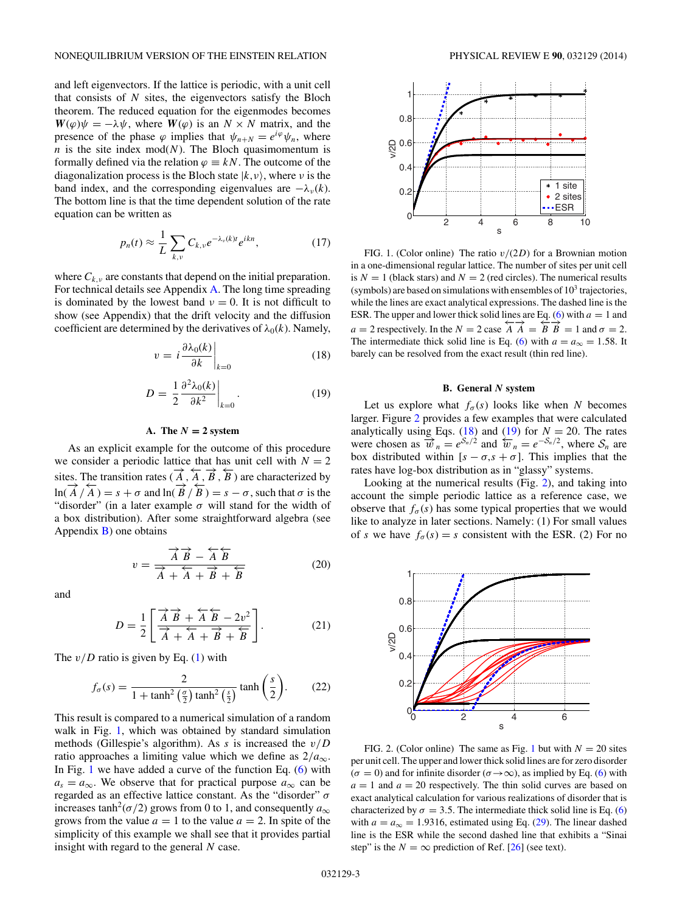<span id="page-2-0"></span>and left eigenvectors. If the lattice is periodic, with a unit cell that consists of *N* sites, the eigenvectors satisfy the Bloch theorem. The reduced equation for the eigenmodes becomes  $W(\varphi)\psi = -\lambda \psi$ , where  $W(\varphi)$  is an  $N \times N$  matrix, and the presence of the phase  $\varphi$  implies that  $\psi_{n+N} = e^{i\varphi} \psi_n$ , where  $n$  is the site index mod( $N$ ). The Bloch quasimomentum is formally defined via the relation  $\varphi \equiv kN$ . The outcome of the diagonalization process is the Bloch state  $|k, v\rangle$ , where *v* is the band index, and the corresponding eigenvalues are  $-\lambda_{\nu}(k)$ . The bottom line is that the time dependent solution of the rate equation can be written as

$$
p_n(t) \approx \frac{1}{L} \sum_{k,\nu} C_{k,\nu} e^{-\lambda_{\nu}(k)t} e^{ikn}, \qquad (17)
$$

where  $C_{k,\nu}$  are constants that depend on the initial preparation. For technical details see Appendix [A.](#page-5-0) The long time spreading is dominated by the lowest band  $\nu = 0$ . It is not difficult to show (see Appendix) that the drift velocity and the diffusion coefficient are determined by the derivatives of  $\lambda_0(k)$ . Namely,

$$
v = i \frac{\partial \lambda_0(k)}{\partial k} \bigg|_{k=0} \tag{18}
$$

$$
D = \left. \frac{1}{2} \frac{\partial^2 \lambda_0(k)}{\partial k^2} \right|_{k=0}.
$$
 (19)

#### A. The  $N = 2$  system

As an explicit example for the outcome of this procedure we consider a periodic lattice that has unit cell with  $N = 2$ sites. The transition rates ( $\overrightarrow{A}$ ,  $\overrightarrow{A}$ ,  $\overrightarrow{B}$ ,  $\overleftarrow{B}$ ) are characterized by ln( $\overrightarrow{A}/\overrightarrow{A}$ ) = *s* + *σ* and ln( $\overrightarrow{B}/\overrightarrow{B}$ ) = *s* − *σ*, such that *σ* is the "disorder" (in a later example  $\sigma$  will stand for the width of a box distribution). After some straightforward algebra (see Appendix  $B$ ) one obtains

$$
v = \frac{\overrightarrow{A} \overrightarrow{B} - \overleftarrow{A} \overrightarrow{B}}{\overrightarrow{A} + \overrightarrow{A} + \overrightarrow{B} + \overleftarrow{B}}
$$
(20)

and

$$
D = \frac{1}{2} \left[ \frac{\overrightarrow{A} \overrightarrow{B} + \overleftarrow{A} \overrightarrow{B} - 2v^2}{\overrightarrow{A} + \overleftarrow{A} + \overrightarrow{B} + \overleftarrow{B}} \right].
$$
 (21)

The  $v/D$  ratio is given by Eq. [\(1\)](#page-0-0) with

$$
f_{\sigma}(s) = \frac{2}{1 + \tanh^2\left(\frac{\sigma}{2}\right)\tanh^2\left(\frac{s}{2}\right)}\tanh\left(\frac{s}{2}\right). \tag{22}
$$

This result is compared to a numerical simulation of a random walk in Fig. 1, which was obtained by standard simulation methods (Gillespie's algorithm). As *s* is increased the *v/D* ratio approaches a limiting value which we define as  $2/a_{\infty}$ . In Fig. 1 we have added a curve of the function Eq.  $(6)$  with  $a_s = a_\infty$ . We observe that for practical purpose  $a_\infty$  can be regarded as an effective lattice constant. As the "disorder" *σ* increases tanh<sup>2</sup>( $\sigma$ /2) grows from 0 to 1, and consequently  $a_{\infty}$ grows from the value  $a = 1$  to the value  $a = 2$ . In spite of the simplicity of this example we shall see that it provides partial insight with regard to the general *N* case.



FIG. 1. (Color online) The ratio *v/*(2*D*) for a Brownian motion in a one-dimensional regular lattice. The number of sites per unit cell is  $N = 1$  (black stars) and  $N = 2$  (red circles). The numerical results (symbols) are based on simulations with ensembles of  $10<sup>3</sup>$  trajectories, while the lines are exact analytical expressions. The dashed line is the ESR. The upper and lower thick solid lines are Eq. [\(6\)](#page-1-0) with  $a = 1$  and *a* = 2 respectively. In the *N* = 2 case  $\overrightarrow{A} \overrightarrow{A} = \overrightarrow{B} \overrightarrow{B} = 1$  and  $\sigma = 2$ . The intermediate thick solid line is Eq. [\(6\)](#page-1-0) with  $a = a_{\infty} = 1.58$ . It barely can be resolved from the exact result (thin red line).

#### **B. General** *N* **system**

Let us explore what  $f_{\sigma}(s)$  looks like when *N* becomes larger. Figure 2 provides a few examples that were calculated analytically using Eqs. (18) and (19) for *N* = 20. The rates were chosen as  $\overline{w}_n = e^{S_n/2}$  and  $\overline{w}_n = e^{-S_n/2}$ , where  $S_n$  are box distributed within  $[s - \sigma, s + \sigma]$ . This implies that the rates have log-box distribution as in "glassy" systems.

Looking at the numerical results (Fig. 2), and taking into account the simple periodic lattice as a reference case, we observe that  $f_{\sigma}(s)$  has some typical properties that we would like to analyze in later sections. Namely: (1) For small values of *s* we have  $f_{\sigma}(s) = s$  consistent with the ESR. (2) For no



FIG. 2. (Color online) The same as Fig. 1 but with  $N = 20$  sites per unit cell. The upper and lower thick solid lines are for zero disorder  $(\sigma = 0)$  and for infinite disorder ( $\sigma \rightarrow \infty$ ), as implied by Eq. [\(6\)](#page-1-0) with  $a = 1$  and  $a = 20$  respectively. The thin solid curves are based on exact analytical calculation for various realizations of disorder that is characterized by  $\sigma = 3.5$ . The intermediate thick solid line is Eq. [\(6\)](#page-1-0) with  $a = a_{\infty} = 1.9316$ , estimated using Eq. [\(29\)](#page-3-0). The linear dashed line is the ESR while the second dashed line that exhibits a "Sinai step" is the  $N = \infty$  prediction of Ref. [\[26\]](#page-7-0) (see text).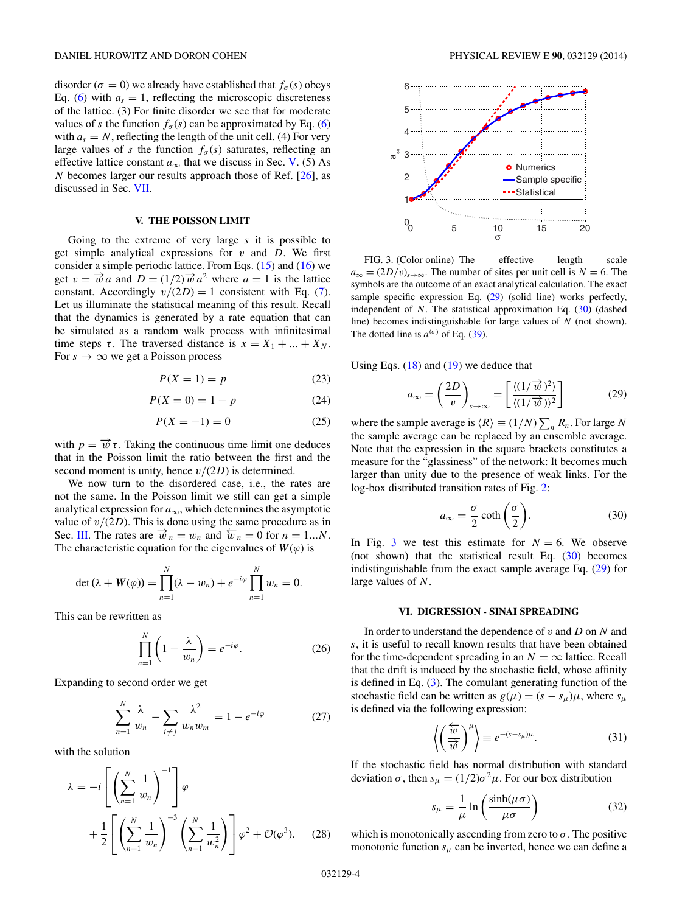<span id="page-3-0"></span>disorder ( $\sigma = 0$ ) we already have established that  $f_{\sigma}(s)$  obeys Eq. [\(6\)](#page-1-0) with  $a_s = 1$ , reflecting the microscopic discreteness of the lattice. (3) For finite disorder we see that for moderate values of *s* the function  $f_{\sigma}(s)$  can be approximated by Eq. [\(6\)](#page-1-0) with  $a_s = N$ , reflecting the length of the unit cell. (4) For very large values of *s* the function  $f_{\sigma}(s)$  saturates, reflecting an effective lattice constant  $a_{\infty}$  that we discuss in Sec. V. (5) As *N* becomes larger our results approach those of Ref. [\[26\]](#page-7-0), as discussed in Sec. [VII.](#page-4-0)

# **V. THE POISSON LIMIT**

Going to the extreme of very large *s* it is possible to get simple analytical expressions for *v* and *D*. We first consider a simple periodic lattice. From Eqs.  $(15)$  and  $(16)$  we get  $v = \vec{w}a$  and  $D = (1/2)\vec{w}a^2$  where  $a = 1$  is the lattice constant. Accordingly  $v/(2D) = 1$  consistent with Eq. [\(7\)](#page-1-0). Let us illuminate the statistical meaning of this result. Recall that the dynamics is generated by a rate equation that can be simulated as a random walk process with infinitesimal time steps  $\tau$ . The traversed distance is  $x = X_1 + ... + X_N$ . For  $s \to \infty$  we get a Poisson process

$$
P(X=1) = p \tag{23}
$$

$$
P(X = 0) = 1 - p \tag{24}
$$

$$
P(X = -1) = 0\tag{25}
$$

with  $p = \vec{w} \tau$ . Taking the continuous time limit one deduces that in the Poisson limit the ratio between the first and the second moment is unity, hence *v/*(2*D*) is determined.

We now turn to the disordered case, i.e., the rates are not the same. In the Poisson limit we still can get a simple analytical expression for  $a_{\infty}$ , which determines the asymptotic value of  $v/(2D)$ . This is done using the same procedure as in Sec. [III.](#page-1-0) The rates are  $\vec{w}_n = w_n$  and  $\vec{w}_n = 0$  for  $n = 1...N$ . The characteristic equation for the eigenvalues of  $W(\varphi)$  is

$$
\det(\lambda + W(\varphi)) = \prod_{n=1}^{N} (\lambda - w_n) + e^{-i\varphi} \prod_{n=1}^{N} w_n = 0.
$$

This can be rewritten as

$$
\prod_{n=1}^{N} \left( 1 - \frac{\lambda}{w_n} \right) = e^{-i\varphi}.
$$
 (26)

Expanding to second order we get

$$
\sum_{n=1}^{N} \frac{\lambda}{w_n} - \sum_{i \neq j} \frac{\lambda^2}{w_n w_m} = 1 - e^{-i\varphi}
$$
 (27)

with the solution

$$
\lambda = -i \left[ \left( \sum_{n=1}^{N} \frac{1}{w_n} \right)^{-1} \right] \varphi
$$
  
+ 
$$
\frac{1}{2} \left[ \left( \sum_{n=1}^{N} \frac{1}{w_n} \right)^{-3} \left( \sum_{n=1}^{N} \frac{1}{w_n^2} \right) \right] \varphi^2 + \mathcal{O}(\varphi^3).
$$
 (28)



FIG. 3. (Color online) The effective length scale  $a_{\infty} = (2D/v)_{s \to \infty}$ . The number of sites per unit cell is *N* = 6. The symbols are the outcome of an exact analytical calculation. The exact sample specific expression Eq. (29) (solid line) works perfectly, independent of *N*. The statistical approximation Eq. (30) (dashed line) becomes indistinguishable for large values of *N* (not shown). The dotted line is  $a^{(\sigma)}$  of Eq. [\(39\)](#page-4-0).

Using Eqs.  $(18)$  and  $(19)$  we deduce that

$$
a_{\infty} = \left(\frac{2D}{v}\right)_{s \to \infty} = \left[\frac{\langle (1/\overrightarrow{w})^2 \rangle}{\langle (1/\overrightarrow{w}) \rangle^2}\right]
$$
(29)

where the sample average is  $\langle R \rangle \equiv (1/N) \sum_{n} R_n$ . For large *N* the sample average can be replaced by an ensemble average. Note that the expression in the square brackets constitutes a measure for the "glassiness" of the network: It becomes much larger than unity due to the presence of weak links. For the log-box distributed transition rates of Fig. [2:](#page-2-0)

$$
a_{\infty} = \frac{\sigma}{2} \coth\left(\frac{\sigma}{2}\right). \tag{30}
$$

In Fig. 3 we test this estimate for  $N = 6$ . We observe (not shown) that the statistical result Eq. (30) becomes indistinguishable from the exact sample average Eq. (29) for large values of *N*.

### **VI. DIGRESSION - SINAI SPREADING**

In order to understand the dependence of *v* and *D* on *N* and *s*, it is useful to recall known results that have been obtained for the time-dependent spreading in an  $N = \infty$  lattice. Recall that the drift is induced by the stochastic field, whose affinity is defined in Eq. [\(3\)](#page-0-0). The comulant generating function of the stochastic field can be written as  $g(\mu) = (s - s_{\mu})\mu$ , where  $s_{\mu}$ is defined via the following expression:

$$
\left\langle \left(\frac{\overleftarrow{w}}{\overrightarrow{w}}\right)^{\mu}\right\rangle \equiv e^{-(s-s_{\mu})\mu}.
$$
 (31)

If the stochastic field has normal distribution with standard deviation *σ*, then  $s_\mu = (1/2) \sigma^2 \mu$ . For our box distribution

$$
s_{\mu} = \frac{1}{\mu} \ln \left( \frac{\sinh(\mu \sigma)}{\mu \sigma} \right)
$$
 (32)

which is monotonically ascending from zero to  $\sigma$ . The positive monotonic function  $s_{\mu}$  can be inverted, hence we can define a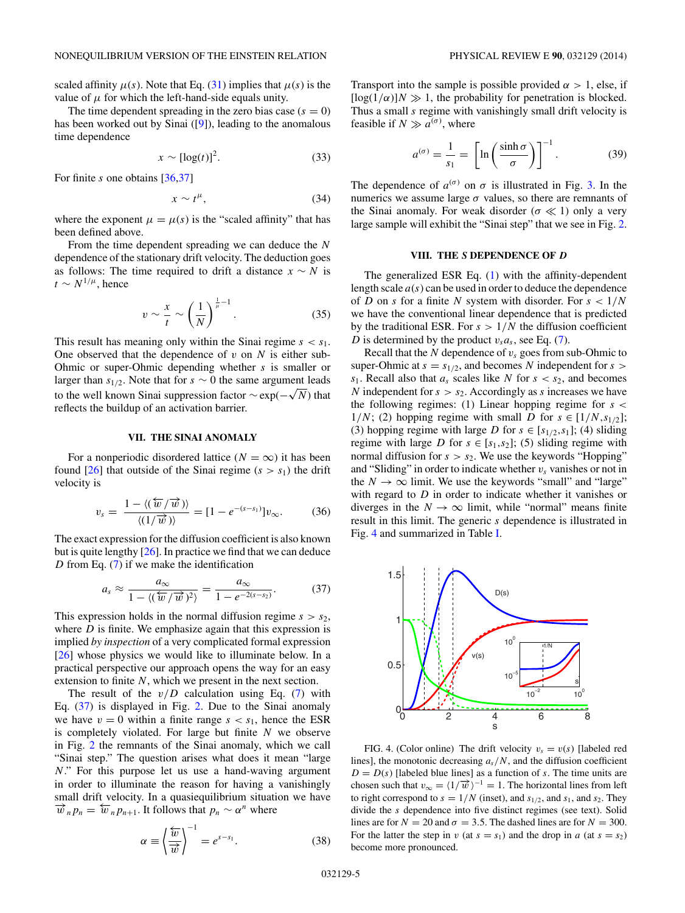<span id="page-4-0"></span>scaled affinity  $\mu(s)$ . Note that Eq. [\(31\)](#page-3-0) implies that  $\mu(s)$  is the value of  $\mu$  for which the left-hand-side equals unity.

The time dependent spreading in the zero bias case  $(s = 0)$ has been worked out by Sinai ([\[9\]](#page-6-0)), leading to the anomalous time dependence

$$
x \sim [\log(t)]^2. \tag{33}
$$

For finite *s* one obtains [\[36,37\]](#page-7-0)

$$
x \sim t^{\mu}, \tag{34}
$$

where the exponent  $\mu = \mu(s)$  is the "scaled affinity" that has been defined above.

From the time dependent spreading we can deduce the *N* dependence of the stationary drift velocity. The deduction goes as follows: The time required to drift a distance  $x \sim N$  is  $t \sim N^{1/\mu}$ , hence

$$
v \sim \frac{x}{t} \sim \left(\frac{1}{N}\right)^{\frac{1}{\mu}-1}.\tag{35}
$$

This result has meaning only within the Sinai regime  $s < s_1$ . One observed that the dependence of  $v$  on  $N$  is either sub-Ohmic or super-Ohmic depending whether *s* is smaller or larger than  $s_{1/2}$ . Note that for  $s \sim 0$  the same argument leads to the well known Sinai suppression factor  $\sim$  exp( $-\sqrt{N}$ ) that to the well known Sinai suppression factor  $\sim$  exp( $-\sqrt{N}$ ) that reflects the buildup of an activation barrier.

#### **VII. THE SINAI ANOMALY**

For a nonperiodic disordered lattice ( $N = \infty$ ) it has been found  $\left[26\right]$  that outside of the Sinai regime  $(s > s_1)$  the drift velocity is

$$
v_s = \frac{1 - \langle (\overleftarrow{w}/\overrightarrow{w}) \rangle}{\langle (1/\overrightarrow{w}) \rangle} = [1 - e^{-(s-s_1)}]v_{\infty}.
$$
 (36)

The exact expression for the diffusion coefficient is also known but is quite lengthy [\[26\]](#page-7-0). In practice we find that we can deduce *D* from Eq. [\(7\)](#page-1-0) if we make the identification

$$
a_s \approx \frac{a_\infty}{1 - \langle (\overleftarrow{w}/\overrightarrow{w})^2 \rangle} = \frac{a_\infty}{1 - e^{-2(s-s_2)}}.
$$
 (37)

This expression holds in the normal diffusion regime  $s > s_2$ , where *D* is finite. We emphasize again that this expression is implied *by inspection* of a very complicated formal expression [\[26\]](#page-7-0) whose physics we would like to illuminate below. In a practical perspective our approach opens the way for an easy extension to finite *N*, which we present in the next section.

The result of the  $v/D$  calculation using Eq. [\(7\)](#page-1-0) with Eq. (37) is displayed in Fig. [2.](#page-2-0) Due to the Sinai anomaly we have  $v = 0$  within a finite range  $s < s<sub>1</sub>$ , hence the ESR is completely violated. For large but finite *N* we observe in Fig. [2](#page-2-0) the remnants of the Sinai anomaly, which we call "Sinai step." The question arises what does it mean "large *N*." For this purpose let us use a hand-waving argument in order to illuminate the reason for having a vanishingly small drift velocity. In a quasiequilibrium situation we have  $\vec{w}_n p_n = \vec{w}_n p_{n+1}$ . It follows that  $p_n \sim \alpha^n$  where

$$
\alpha \equiv \left\langle \frac{\overleftarrow{w}}{\overrightarrow{w}} \right\rangle^{-1} = e^{s-s_1}.
$$
 (38)

Transport into the sample is possible provided  $\alpha > 1$ , else, if  $[\log(1/\alpha)]N \gg 1$ , the probability for penetration is blocked. Thus a small *s* regime with vanishingly small drift velocity is feasible if  $N \gg a^{(\sigma)}$ , where

$$
a^{(\sigma)} = \frac{1}{s_1} = \left[ \ln \left( \frac{\sinh \sigma}{\sigma} \right) \right]^{-1}.
$$
 (39)

The dependence of  $a^{(\sigma)}$  on  $\sigma$  is illustrated in Fig. [3.](#page-3-0) In the numerics we assume large  $\sigma$  values, so there are remnants of the Sinai anomaly. For weak disorder  $(\sigma \ll 1)$  only a very large sample will exhibit the "Sinai step" that we see in Fig. [2.](#page-2-0)

### **VIII. THE** *S* **DEPENDENCE OF** *D*

The generalized ESR Eq. [\(1\)](#page-0-0) with the affinity-dependent length scale *a*(*s*) can be used in order to deduce the dependence of *D* on *s* for a finite *N* system with disorder. For *s <* 1*/N* we have the conventional linear dependence that is predicted by the traditional ESR. For  $s > 1/N$  the diffusion coefficient *D* is determined by the product  $v_s a_s$ , see Eq. [\(7\)](#page-1-0).

Recall that the  $N$  dependence of  $v_s$  goes from sub-Ohmic to super-Ohmic at  $s = s_{1/2}$ , and becomes *N* independent for  $s >$  $s_1$ . Recall also that  $a_s$  scales like *N* for  $s < s_2$ , and becomes *N* independent for  $s > s_2$ . Accordingly as *s* increases we have the following regimes: (1) Linear hopping regime for *s <* 1/N; (2) hopping regime with small *D* for  $s \in [1/N, s_{1/2}]$ ; (3) hopping regime with large *D* for  $s \in [s_{1/2}, s_1]$ ; (4) sliding regime with large *D* for  $s \in [s_1, s_2]$ ; (5) sliding regime with normal diffusion for  $s > s_2$ . We use the keywords "Hopping" and "Sliding" in order to indicate whether  $v_s$  vanishes or not in the  $N \to \infty$  limit. We use the keywords "small" and "large" with regard to *D* in order to indicate whether it vanishes or diverges in the  $N \to \infty$  limit, while "normal" means finite result in this limit. The generic *s* dependence is illustrated in Fig. 4 and summarized in Table [I.](#page-5-0)



FIG. 4. (Color online) The drift velocity  $v_s = v(s)$  [labeled red lines], the monotonic decreasing  $a_s/N$ , and the diffusion coefficient  $D = D(s)$  [labeled blue lines] as a function of *s*. The time units are chosen such that  $v_{\infty} = \langle 1/\overrightarrow{w} \rangle^{-1} = 1$ . The horizontal lines from left to right correspond to  $s = 1/N$  (inset), and  $s_{1/2}$ , and  $s_1$ , and  $s_2$ . They divide the *s* dependence into five distinct regimes (see text). Solid lines are for  $N = 20$  and  $\sigma = 3.5$ . The dashed lines are for  $N = 300$ . For the latter the step in *v* (at  $s = s_1$ ) and the drop in *a* (at  $s = s_2$ ) become more pronounced.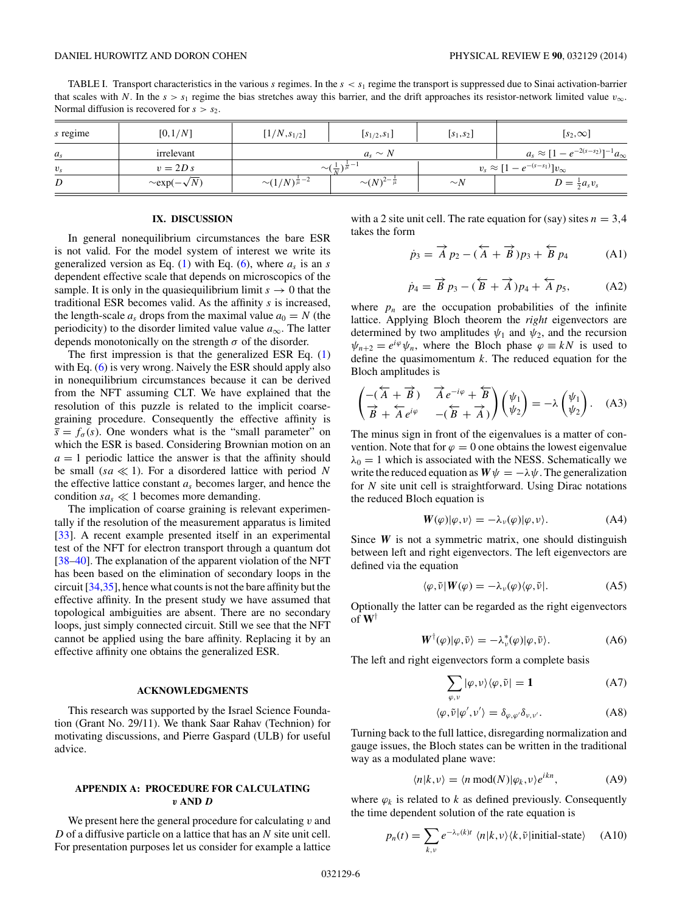<span id="page-5-0"></span>TABLE I. Transport characteristics in the various *s* regimes. In the *s<s*<sup>1</sup> regime the transport is suppressed due to Sinai activation-barrier that scales with *N*. In the  $s > s_1$  regime the bias stretches away this barrier, and the drift approaches its resistor-network limited value  $v_\infty$ . Normal diffusion is recovered for  $s > s_2$ .

| s regime | [0,1/N]                   | $[1/N, s_{1/2}]$                         | $[s_{1/2}, s_1]$            | $\left[s_1,s_2\right]$                     | $[s_2,\infty]$                                    |
|----------|---------------------------|------------------------------------------|-----------------------------|--------------------------------------------|---------------------------------------------------|
| $a_{s}$  | irrelevant                | $a_{s} \sim N$                           |                             |                                            | $a_s \approx [1 - e^{-2(s-s_2)}]^{-1} a_{\infty}$ |
| $v_{s}$  | $v = 2D s$                | $\sim (\frac{1}{\nu})^{\frac{1}{\mu}-1}$ |                             | $v_s \approx [1 - e^{-(s-s_1)}]v_{\infty}$ |                                                   |
| D        | $\sim$ exp( $-\sqrt{N}$ ) | $\sim (1/N)^{\frac{1}{\mu}-2}$           | $\sim(N)^{2-\frac{1}{\mu}}$ | $\sim_N$                                   | $D = \frac{1}{2}a_s v_s$                          |

### **IX. DISCUSSION**

In general nonequilibrium circumstances the bare ESR is not valid. For the model system of interest we write its generalized version as Eq. [\(1\)](#page-0-0) with Eq. [\(6\)](#page-1-0), where  $a<sub>s</sub>$  is an *s* dependent effective scale that depends on microscopics of the sample. It is only in the quasiequilibrium limit  $s \to 0$  that the traditional ESR becomes valid. As the affinity *s* is increased, the length-scale  $a_s$  drops from the maximal value  $a_0 = N$  (the periodicity) to the disorder limited value value  $a_{\infty}$ . The latter depends monotonically on the strength  $\sigma$  of the disorder.

The first impression is that the generalized ESR Eq. [\(1\)](#page-0-0) with Eq. [\(6\)](#page-1-0) is very wrong. Naively the ESR should apply also in nonequilibrium circumstances because it can be derived from the NFT assuming CLT. We have explained that the resolution of this puzzle is related to the implicit coarsegraining procedure. Consequently the effective affinity is  $\bar{s} = f_{\sigma}(s)$ . One wonders what is the "small parameter" on which the ESR is based. Considering Brownian motion on an  $a = 1$  periodic lattice the answer is that the affinity should be small ( $sa \ll 1$ ). For a disordered lattice with period N the effective lattice constant *as* becomes larger, and hence the condition  $sa_s \ll 1$  becomes more demanding.

The implication of coarse graining is relevant experimentally if the resolution of the measurement apparatus is limited [\[33\]](#page-7-0). A recent example presented itself in an experimental test of the NFT for electron transport through a quantum dot [\[38–40\]](#page-7-0). The explanation of the apparent violation of the NFT has been based on the elimination of secondary loops in the circuit [\[34,35\]](#page-7-0), hence what counts is not the bare affinity but the effective affinity. In the present study we have assumed that topological ambiguities are absent. There are no secondary loops, just simply connected circuit. Still we see that the NFT cannot be applied using the bare affinity. Replacing it by an effective affinity one obtains the generalized ESR.

# **ACKNOWLEDGMENTS**

This research was supported by the Israel Science Foundation (Grant No. 29/11). We thank Saar Rahav (Technion) for motivating discussions, and Pierre Gaspard (ULB) for useful advice.

# **APPENDIX A: PROCEDURE FOR CALCULATING** *v* **AND** *D*

We present here the general procedure for calculating *v* and *D* of a diffusive particle on a lattice that has an *N* site unit cell. For presentation purposes let us consider for example a lattice

with a 2 site unit cell. The rate equation for (say) sites  $n = 3.4$ takes the form

$$
\dot{p}_3 = \overrightarrow{A} p_2 - (\overleftarrow{A} + \overrightarrow{B})p_3 + \overleftarrow{B} p_4
$$
 (A1)

$$
\dot{p}_4 = \overrightarrow{B} p_3 - (\overleftarrow{B} + \overrightarrow{A})p_4 + \overleftarrow{A} p_5, \tag{A2}
$$

where  $p_n$  are the occupation probabilities of the infinite lattice. Applying Bloch theorem the *right* eigenvectors are determined by two amplitudes  $\psi_1$  and  $\psi_2$ , and the recursion  $\psi_{n+2} = e^{i\varphi}\psi_n$ , where the Bloch phase  $\varphi \equiv kN$  is used to define the quasimomentum *k*. The reduced equation for the Bloch amplitudes is

$$
\begin{pmatrix} -(\overleftarrow{A} + \overrightarrow{B}) & \overrightarrow{A}e^{-i\varphi} + \overleftarrow{B} \\ \overrightarrow{B} + \overleftarrow{A}e^{i\varphi} & -(\overleftarrow{B} + \overrightarrow{A}) \end{pmatrix} \begin{pmatrix} \psi_1 \\ \psi_2 \end{pmatrix} = -\lambda \begin{pmatrix} \psi_1 \\ \psi_2 \end{pmatrix}.
$$
 (A3)

The minus sign in front of the eigenvalues is a matter of convention. Note that for  $\varphi = 0$  one obtains the lowest eigenvalue  $\lambda_0 = 1$  which is associated with the NESS. Schematically we write the reduced equation as  $W \psi = -\lambda \psi$ . The generalization for *N* site unit cell is straightforward. Using Dirac notations the reduced Bloch equation is

$$
W(\varphi)|\varphi,\nu\rangle = -\lambda_{\nu}(\varphi)|\varphi,\nu\rangle.
$$
 (A4)

Since *W* is not a symmetric matrix, one should distinguish between left and right eigenvectors. The left eigenvectors are defined via the equation

$$
\langle \varphi, \tilde{\nu} | W(\varphi) = -\lambda_{\nu}(\varphi) \langle \varphi, \tilde{\nu} |.
$$
 (A5)

Optionally the latter can be regarded as the right eigenvectors of  $W^{\dagger}$ 

$$
\boldsymbol{W}^{\dagger}(\varphi)|\varphi,\tilde{\nu}\rangle = -\lambda_{\nu}^{*}(\varphi)|\varphi,\tilde{\nu}\rangle. \tag{A6}
$$

The left and right eigenvectors form a complete basis

$$
\sum_{\varphi,\nu} |\varphi,\nu\rangle\langle\varphi,\tilde{\nu}| = 1
$$
 (A7)

$$
\langle \varphi, \tilde{\nu} | \varphi', \nu' \rangle = \delta_{\varphi, \varphi'} \delta_{\nu, \nu'}.
$$
 (A8)

Turning back to the full lattice, disregarding normalization and gauge issues, the Bloch states can be written in the traditional way as a modulated plane wave:

$$
\langle n|k,\nu\rangle = \langle n \bmod(N)|\varphi_k,\nu\rangle e^{ikn},\tag{A9}
$$

where  $\varphi_k$  is related to *k* as defined previously. Consequently the time dependent solution of the rate equation is

$$
p_n(t) = \sum_{k,v} e^{-\lambda_v(k)t} \langle n|k,v\rangle \langle k,\tilde{\nu}|\text{initial-state}\rangle \quad (A10)
$$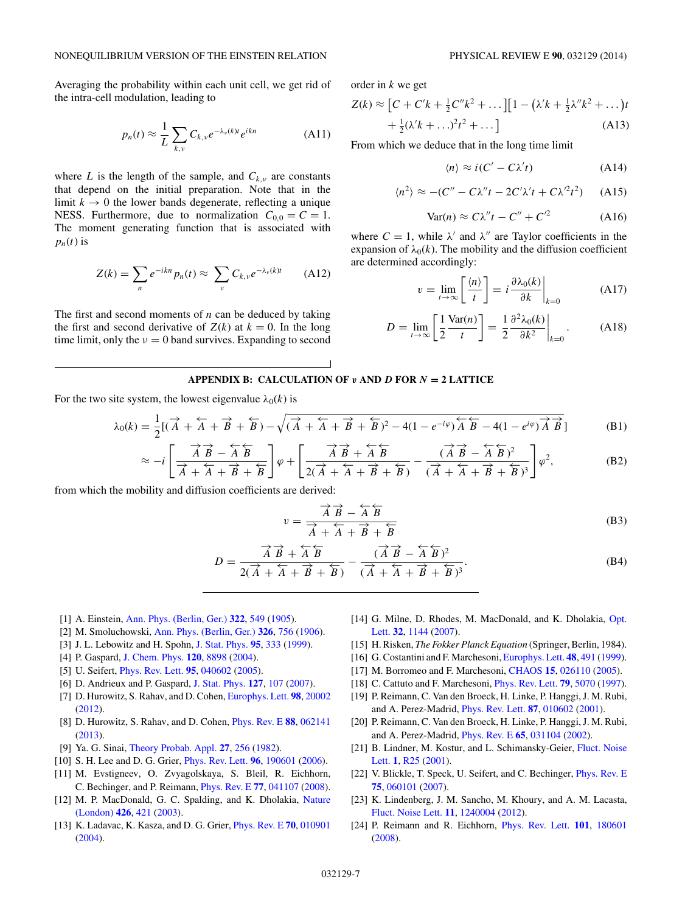<span id="page-6-0"></span>Averaging the probability within each unit cell, we get rid of the intra-cell modulation, leading to

$$
p_n(t) \approx \frac{1}{L} \sum_{k,v} C_{k,v} e^{-\lambda_v(k)t} e^{ikn}
$$
 (A11)

where *L* is the length of the sample, and  $C_{k,\nu}$  are constants that depend on the initial preparation. Note that in the limit  $k \to 0$  the lower bands degenerate, reflecting a unique NESS. Furthermore, due to normalization  $C_{0,0} = C = 1$ . The moment generating function that is associated with  $p_n(t)$  is

$$
Z(k) = \sum_{n} e^{-ikn} p_n(t) \approx \sum_{\nu} C_{k,\nu} e^{-\lambda_{\nu}(k)t}
$$
 (A12)

The first and second moments of *n* can be deduced by taking the first and second derivative of  $Z(k)$  at  $k = 0$ . In the long time limit, only the  $\nu = 0$  band survives. Expanding to second order in *k* we get

$$
Z(k) \approx [C + C'k + \frac{1}{2}C''k^2 + \dots][1 - (\lambda'k + \frac{1}{2}\lambda''k^2 + \dots)t + \frac{1}{2}(\lambda'k + \dots)^2t^2 + \dots]
$$
\n(A13)

From which we deduce that in the long time limit

$$
\langle n \rangle \approx i(C' - C\lambda' t) \tag{A14}
$$

$$
\langle n^2 \rangle \approx -(C'' - C\lambda''t - 2C'\lambda't + C\lambda'^2t^2)
$$
 (A15)

$$
Var(n) \approx C\lambda''t - C'' + C'^2 \tag{A16}
$$

where  $C = 1$ , while  $\lambda'$  and  $\lambda''$  are Taylor coefficients in the expansion of  $\lambda_0(k)$ . The mobility and the diffusion coefficient are determined accordingly:

$$
v = \lim_{t \to \infty} \left[ \frac{\langle n \rangle}{t} \right] = i \frac{\partial \lambda_0(k)}{\partial k} \Big|_{k=0}
$$
 (A17)

$$
D = \lim_{t \to \infty} \left[ \frac{1}{2} \frac{\text{Var}(n)}{t} \right] = \frac{1}{2} \frac{\partial^2 \lambda_0(k)}{\partial k^2} \bigg|_{k=0}.
$$
 (A18)

# **APPENDIX B: CALCULATION OF** *v* **AND** *D* **FOR** *N* **= 2 LATTICE**

For the two site system, the lowest eigenvalue  $\lambda_0(k)$  is

$$
\lambda_0(k) = \frac{1}{2} [(\overrightarrow{A} + \overleftarrow{A} + \overrightarrow{B} + \overrightarrow{B}) - \sqrt{(\overrightarrow{A} + \overleftarrow{A} + \overrightarrow{B} + \overleftarrow{B})^2 - 4(1 - e^{-i\varphi})\overleftarrow{A} \overrightarrow{B} - 4(1 - e^{i\varphi})\overrightarrow{A} \overrightarrow{B}]
$$
(B1)  
\n
$$
\cdot \begin{bmatrix} \overrightarrow{A} & \overrightarrow{B} - \overleftarrow{A} & \overrightarrow{B} \\ \overrightarrow{A} & \overrightarrow{B} - \overleftarrow{A} & \overrightarrow{B} \end{bmatrix} \begin{bmatrix} \overrightarrow{A} & \overrightarrow{B} + \overleftarrow{A} & \overleftarrow{B} \\ \overrightarrow{A} & \overrightarrow{B} + \overleftarrow{A} & \overrightarrow{B} \end{bmatrix} \begin{bmatrix} \overrightarrow{A} & \overrightarrow{B} - \overleftarrow{A} & \overleftarrow{B} \end{bmatrix} \begin{bmatrix} \overrightarrow{A} & \overrightarrow{B} - \overleftarrow{A} & \overrightarrow{B} \end{bmatrix} \begin{bmatrix} \overrightarrow{A} & \overrightarrow{B} - \overleftarrow{A} & \overrightarrow{B} \end{bmatrix} \begin{bmatrix} \overrightarrow{A} & \overrightarrow{B} - \overleftarrow{A} & \overrightarrow{B} \end{bmatrix} \begin{bmatrix} \overrightarrow{A} & \overrightarrow{B} - \overleftarrow{A} & \overrightarrow{B} \end{bmatrix} \begin{bmatrix} \overrightarrow{A} & \overrightarrow{B} - \overleftarrow{A} & \overrightarrow{B} \end{bmatrix} \begin{bmatrix} \overrightarrow{A} & \overrightarrow{B} - \overleftarrow{A} & \overrightarrow{B} \end{bmatrix} \begin{bmatrix} \overrightarrow{A} & \overrightarrow{A} - \overrightarrow{A} & \overrightarrow{B} \end{bmatrix} \begin{bmatrix} \overrightarrow{A} & \overrightarrow{A} - \overrightarrow{A} & \overrightarrow{B} \end{bmatrix} \begin{bmatrix} \overrightarrow{A} & \overrightarrow{A} - \overrightarrow{A} & \overrightarrow{B} \end{bmatrix} \begin{bmatrix} \overrightarrow{A} & \overrightarrow{A} - \overrightarrow{A} & \overrightarrow{B} \end{bmatrix} \begin{bmatrix} \overrightarrow{A} & \overrightarrow{A} - \overrightarrow{A} & \overrightarrow{B} \end{bmatrix}
$$

$$
\approx -i\left[\frac{\overrightarrow{A} \overrightarrow{B} - \overleftarrow{A} \overrightarrow{B}}{\overrightarrow{A} + \overrightarrow{A} + \overrightarrow{B} + \overrightarrow{B}}\right]\varphi + \left[\frac{\overrightarrow{A} \overrightarrow{B} + \overleftarrow{A} \overrightarrow{B}}{2(\overrightarrow{A} + \overleftarrow{A} + \overrightarrow{B} + \overrightarrow{B})} - \frac{(\overrightarrow{A} \overrightarrow{B} - \overleftarrow{A} \overrightarrow{B})^2}{(\overrightarrow{A} + \overleftarrow{A} + \overrightarrow{B} + \overrightarrow{B})^3}\right]\varphi^2, \tag{B2}
$$

from which the mobility and diffusion coefficients are derived:

$$
v = \frac{\overrightarrow{A} \overrightarrow{B} - \overleftarrow{A} \overleftarrow{B}}{\overrightarrow{A} + \overleftarrow{A} + \overrightarrow{B} + \overleftarrow{B}}
$$
(B3)

$$
D = \frac{\overrightarrow{A} \overrightarrow{B} + \overleftarrow{A} \overrightarrow{B}}{2(\overrightarrow{A} + \overrightarrow{A} + \overrightarrow{B} + \overrightarrow{B})} - \frac{(\overrightarrow{A} \overrightarrow{B} - \overleftarrow{A} \overrightarrow{B})^2}{(\overrightarrow{A} + \overrightarrow{A} + \overrightarrow{B} + \overrightarrow{B})^3}.
$$
 (B4)

- [1] A. Einstein, [Ann. Phys. \(Berlin, Ger.\)](http://dx.doi.org/10.1002/andp.19053220806) **[322](http://dx.doi.org/10.1002/andp.19053220806)**, [549](http://dx.doi.org/10.1002/andp.19053220806) [\(1905\)](http://dx.doi.org/10.1002/andp.19053220806).
- [2] M. Smoluchowski, [Ann. Phys. \(Berlin, Ger.\)](http://dx.doi.org/10.1002/andp.19063261405) **[326](http://dx.doi.org/10.1002/andp.19063261405)**, [756](http://dx.doi.org/10.1002/andp.19063261405) [\(1906\)](http://dx.doi.org/10.1002/andp.19063261405).
- [3] J. L. Lebowitz and H. Spohn, [J. Stat. Phys.](http://dx.doi.org/10.1023/A:1004589714161) **[95](http://dx.doi.org/10.1023/A:1004589714161)**, [333](http://dx.doi.org/10.1023/A:1004589714161) [\(1999\)](http://dx.doi.org/10.1023/A:1004589714161).
- [4] P. Gaspard, [J. Chem. Phys.](http://dx.doi.org/10.1063/1.1688758) **[120](http://dx.doi.org/10.1063/1.1688758)**, [8898](http://dx.doi.org/10.1063/1.1688758) [\(2004\)](http://dx.doi.org/10.1063/1.1688758).
- [5] U. Seifert, [Phys. Rev. Lett.](http://dx.doi.org/10.1103/PhysRevLett.95.040602) **[95](http://dx.doi.org/10.1103/PhysRevLett.95.040602)**, [040602](http://dx.doi.org/10.1103/PhysRevLett.95.040602) [\(2005\)](http://dx.doi.org/10.1103/PhysRevLett.95.040602).
- [6] D. Andrieux and P. Gaspard, [J. Stat. Phys.](http://dx.doi.org/10.1007/s10955-006-9233-5) **[127](http://dx.doi.org/10.1007/s10955-006-9233-5)**, [107](http://dx.doi.org/10.1007/s10955-006-9233-5) [\(2007\)](http://dx.doi.org/10.1007/s10955-006-9233-5).
- [7] D. Hurowitz, S. Rahav, and D. Cohen, [Europhys. Lett.](http://dx.doi.org/10.1209/0295-5075/98/20002) **[98](http://dx.doi.org/10.1209/0295-5075/98/20002)**, [20002](http://dx.doi.org/10.1209/0295-5075/98/20002) [\(2012\)](http://dx.doi.org/10.1209/0295-5075/98/20002).
- [8] D. Hurowitz, S. Rahav, and D. Cohen, [Phys. Rev. E](http://dx.doi.org/10.1103/PhysRevE.88.062141) **[88](http://dx.doi.org/10.1103/PhysRevE.88.062141)**, [062141](http://dx.doi.org/10.1103/PhysRevE.88.062141) [\(2013\)](http://dx.doi.org/10.1103/PhysRevE.88.062141).
- [9] Ya. G. Sinai, [Theory Probab. Appl.](http://dx.doi.org/10.1137/1127028) **[27](http://dx.doi.org/10.1137/1127028)**, [256](http://dx.doi.org/10.1137/1127028) [\(1982\)](http://dx.doi.org/10.1137/1127028).
- [10] S. H. Lee and D. G. Grier, [Phys. Rev. Lett.](http://dx.doi.org/10.1103/PhysRevLett.96.190601) **[96](http://dx.doi.org/10.1103/PhysRevLett.96.190601)**, [190601](http://dx.doi.org/10.1103/PhysRevLett.96.190601) [\(2006\)](http://dx.doi.org/10.1103/PhysRevLett.96.190601).
- [11] M. Evstigneev, O. Zvyagolskaya, S. Bleil, R. Eichhorn, C. Bechinger, and P. Reimann, [Phys. Rev. E](http://dx.doi.org/10.1103/PhysRevE.77.041107) **[77](http://dx.doi.org/10.1103/PhysRevE.77.041107)**, [041107](http://dx.doi.org/10.1103/PhysRevE.77.041107) [\(2008\)](http://dx.doi.org/10.1103/PhysRevE.77.041107).
- [12] [M. P. MacDonald, G. C. Spalding, and K. Dholakia,](http://dx.doi.org/10.1038/nature02144) Nature (London) **[426](http://dx.doi.org/10.1038/nature02144)**, [421](http://dx.doi.org/10.1038/nature02144) [\(2003\)](http://dx.doi.org/10.1038/nature02144).
- [13] K. Ladavac, K. Kasza, and D. G. Grier, [Phys. Rev. E](http://dx.doi.org/10.1103/PhysRevE.70.010901) **[70](http://dx.doi.org/10.1103/PhysRevE.70.010901)**, [010901](http://dx.doi.org/10.1103/PhysRevE.70.010901) [\(2004\)](http://dx.doi.org/10.1103/PhysRevE.70.010901).
- [14] [G. Milne, D. Rhodes, M. MacDonald, and K. Dholakia,](http://dx.doi.org/10.1364/OL.32.001144) Opt. Lett. **[32](http://dx.doi.org/10.1364/OL.32.001144)**, [1144](http://dx.doi.org/10.1364/OL.32.001144) [\(2007\)](http://dx.doi.org/10.1364/OL.32.001144).
- [15] H. Risken, *The Fokker Planck Equation* (Springer, Berlin, 1984).
- [16] G. Costantini and F. Marchesoni, [Europhys. Lett.](http://dx.doi.org/10.1209/epl/i1999-00510-7) **[48](http://dx.doi.org/10.1209/epl/i1999-00510-7)**, [491](http://dx.doi.org/10.1209/epl/i1999-00510-7) [\(1999\)](http://dx.doi.org/10.1209/epl/i1999-00510-7).
- [17] M. Borromeo and F. Marchesoni, [CHAOS](http://dx.doi.org/10.1063/1.1858651) **[15](http://dx.doi.org/10.1063/1.1858651)**, [026110](http://dx.doi.org/10.1063/1.1858651) [\(2005\)](http://dx.doi.org/10.1063/1.1858651).
- [18] C. Cattuto and F. Marchesoni, [Phys. Rev. Lett.](http://dx.doi.org/10.1103/PhysRevLett.79.5070) **[79](http://dx.doi.org/10.1103/PhysRevLett.79.5070)**, [5070](http://dx.doi.org/10.1103/PhysRevLett.79.5070) [\(1997\)](http://dx.doi.org/10.1103/PhysRevLett.79.5070).
- [19] P. Reimann, C. Van den Broeck, H. Linke, P. Hanggi, J. M. Rubi, and A. Perez-Madrid, [Phys. Rev. Lett.](http://dx.doi.org/10.1103/PhysRevLett.87.010602) **[87](http://dx.doi.org/10.1103/PhysRevLett.87.010602)**, [010602](http://dx.doi.org/10.1103/PhysRevLett.87.010602) [\(2001\)](http://dx.doi.org/10.1103/PhysRevLett.87.010602).
- [20] P. Reimann, C. Van den Broeck, H. Linke, P. Hanggi, J. M. Rubi, and A. Perez-Madrid, [Phys. Rev. E](http://dx.doi.org/10.1103/PhysRevE.65.031104) **[65](http://dx.doi.org/10.1103/PhysRevE.65.031104)**, [031104](http://dx.doi.org/10.1103/PhysRevE.65.031104) [\(2002\)](http://dx.doi.org/10.1103/PhysRevE.65.031104).
- [21] [B. Lindner, M. Kostur, and L. Schimansky-Geier,](http://dx.doi.org/10.1142/S0219477501000056) Fluct. Noise Lett. **[1](http://dx.doi.org/10.1142/S0219477501000056)**, [R25](http://dx.doi.org/10.1142/S0219477501000056) [\(2001\)](http://dx.doi.org/10.1142/S0219477501000056).
- [22] V. Blickle, T. Speck, U. Seifert, and C. Bechinger, *[Phys. Rev. E](http://dx.doi.org/10.1103/PhysRevE.75.060101)* **[75](http://dx.doi.org/10.1103/PhysRevE.75.060101)**, [060101](http://dx.doi.org/10.1103/PhysRevE.75.060101) [\(2007\)](http://dx.doi.org/10.1103/PhysRevE.75.060101).
- [23] K. Lindenberg, J. M. Sancho, M. Khoury, and A. M. Lacasta, [Fluct. Noise Lett.](http://dx.doi.org/10.1142/S0219477512400044) **[11](http://dx.doi.org/10.1142/S0219477512400044)**, [1240004](http://dx.doi.org/10.1142/S0219477512400044) [\(2012\)](http://dx.doi.org/10.1142/S0219477512400044).
- [24] P. Reimann and R. Eichhorn, [Phys. Rev. Lett.](http://dx.doi.org/10.1103/PhysRevLett.101.180601) **[101](http://dx.doi.org/10.1103/PhysRevLett.101.180601)**, [180601](http://dx.doi.org/10.1103/PhysRevLett.101.180601) [\(2008\)](http://dx.doi.org/10.1103/PhysRevLett.101.180601).